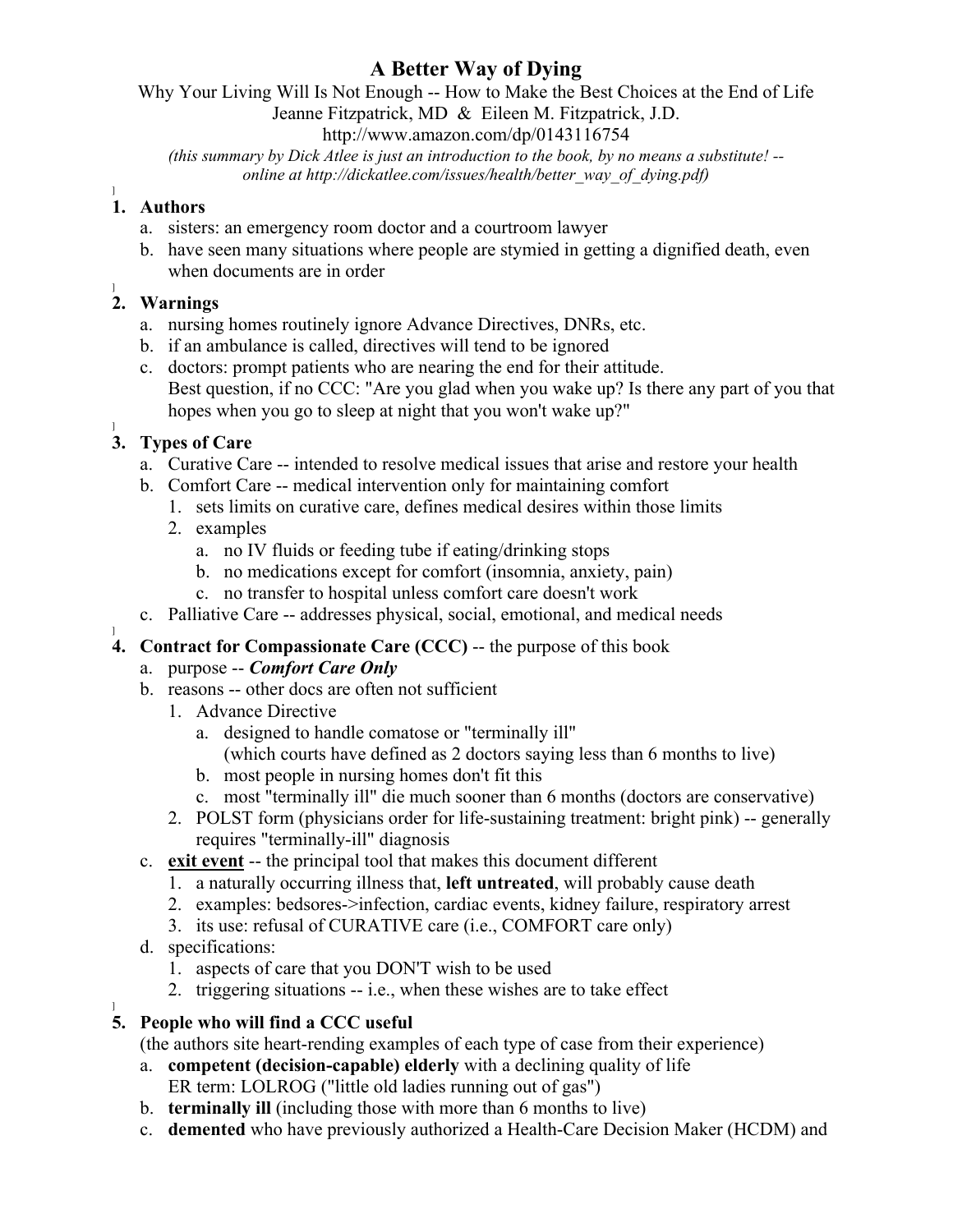### **A Better Way of Dying**

Why Your Living Will Is Not Enough -- How to Make the Best Choices at the End of Life

Jeanne Fitzpatrick, MD & Eileen M. Fitzpatrick, J.D.

http://www.amazon.com/dp/0143116754

*(this summary by Dick Atlee is just an introduction to the book, by no means a substitute! - online at http://dickatlee.com/issues/health/better\_way\_of\_dying.pdf)*

# ] **1. Authors**

- a. sisters: an emergency room doctor and a courtroom lawyer
- b. have seen many situations where people are stymied in getting a dignified death, even when documents are in order

### ] **2. Warnings**

- a. nursing homes routinely ignore Advance Directives, DNRs, etc.
- b. if an ambulance is called, directives will tend to be ignored
- c. doctors: prompt patients who are nearing the end for their attitude. Best question, if no CCC: "Are you glad when you wake up? Is there any part of you that hopes when you go to sleep at night that you won't wake up?"

## **3. Types of Care**

- a. Curative Care -- intended to resolve medical issues that arise and restore your health
- b. Comfort Care -- medical intervention only for maintaining comfort
	- 1. sets limits on curative care, defines medical desires within those limits
	- 2. examples
		- a. no IV fluids or feeding tube if eating/drinking stops
		- b. no medications except for comfort (insomnia, anxiety, pain)
		- c. no transfer to hospital unless comfort care doesn't work
- c. Palliative Care -- addresses physical, social, emotional, and medical needs
- **4. Contract for Compassionate Care (CCC)** -- the purpose of this book
	- a. purpose -- *Comfort Care Only*
	- b. reasons -- other docs are often not sufficient
		- 1. Advance Directive
			- a. designed to handle comatose or "terminally ill" (which courts have defined as 2 doctors saying less than 6 months to live)
			- b. most people in nursing homes don't fit this
			- c. most "terminally ill" die much sooner than 6 months (doctors are conservative)
		- 2. POLST form (physicians order for life-sustaining treatment: bright pink) -- generally requires "terminally-ill" diagnosis
	- c. **exit event** -- the principal tool that makes this document different
		- 1. a naturally occurring illness that, **left untreated**, will probably cause death
		- 2. examples: bedsores->infection, cardiac events, kidney failure, respiratory arrest
		- 3. its use: refusal of CURATIVE care (i.e., COMFORT care only)
	- d. specifications:
		- 1. aspects of care that you DON'T wish to be used
		- 2. triggering situations -- i.e., when these wishes are to take effect

### **5. People who will find a CCC useful**

(the authors site heart-rending examples of each type of case from their experience)

- a. **competent (decision-capable) elderly** with a declining quality of life ER term: LOLROG ("little old ladies running out of gas")
- b. **terminally ill** (including those with more than 6 months to live)
- c. **demented** who have previously authorized a Health-Care Decision Maker (HCDM) and